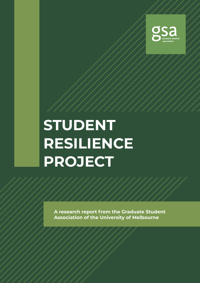

# **STUDENT RESILIENCE PROJECT**

**A research report from the Graduate Student Association of the University of Melbourne**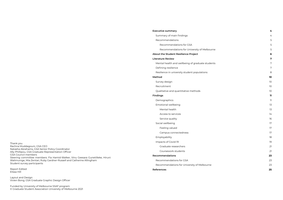Thank you Rachna Muddagouni, GSA CEO Natasha Abrahams, GSA Senior Policy Coordinator Ally Phillipou, GSA Graduate Representation Officer GSA Council members Steering committee members: Fia Hamid-Walker, Vinu Geesara Gunetilleke, Hiruni Walimunige, Mia Zentari, Ruby Gardner-Russell and Catherine Allingham Student survey participants

Report Edited Elissa Hill

Layout and Design Vivien Bong, GSA Graduate Graphic Design Officer

Funded by University of Melbourne SSAF program © Graduate Student Association University of Melbourne 2021

### **[Executive summary](#page-2-0) [4](#page-2-0)**

[Summary of main findings](#page-2-0) and the state of the state of the state of the state of the state of the state of the state of the state of the state of the state of the state of the state of the state of the state of the state o

### [Recommendations](#page-2-0) [5](#page-2-0)

[Recommendations for GSA](#page-2-0) [5](#page-2-0)

[Recommendations for University of Melbourne](#page-2-0) [5](#page-2-0) and 1999 and 1999 and 1999 5

### **[About the Student Resilience Project](#page-3-0) [6](#page-3-0)**

### **[Literature Review](#page-3-0) [7](#page-3-0)**

[Mental health and wellbeing of graduate students](#page-3-0) **[7](#page-3-0)** and  $\alpha$  7

[Defining resilience](#page-3-0) [7](#page-3-0)

[Resilience in university student populations](#page-4-0) [8](#page-4-0)

### **[Method](#page-5-0) [10](#page-5-0)**

[Survey design](#page-5-0) [10](#page-5-0)

[Recruitment](#page-5-0) [10](#page-5-0) and 10 and 10 and 10 and 10 and 10 and 10 and 10 and 10 and 10 and 10 and 10 and 10 and 10 and 10 and 10 and 10 and 10 and 10 and 10 and 10 and 10 and 10 and 10 and 10 and 10 and 10 and 10 and 10 and 10 and

[Qualitative and quantitative methods](#page-5-0) [10](#page-5-0)

### **[Findings](#page-5-0) [11](#page-5-0)**

[Demographics](#page-5-0) and the contract of the contract of the contract of the contract of the contract of the contract of the contract of the contract of the contract of the contract of the contract of the contract of the contract

[Emotional wellbeing](#page-6-0) [13](#page-6-0)

[Mental health](#page-6-0) [13](#page-6-0)

[Access to services](#page-7-0) and the services of the services of the services of the services of the services of the services of the services of the services of the services of the services of the services of the services of the ser

[Service quality](#page-8-0) and the service quality of the service quality of the service quality of the service of the service of the service of the service of the service of the service of the service of the service of the service o

[Social wellbeing](#page-8-0) [17](#page-8-0)

[Feeling valued](#page-8-0) and the state of the state of the state of the state of the state of the state of the state of the state of the state of the state of the state of the state of the state of the state of the state of the stat

[Campus connectedness](#page-8-0) [17](#page-8-0)

### [Employability](#page-9-0) [18](#page-9-0)

[Impacts of Covid-19](#page-9-0) **[19](#page-9-0)** 

[Graduate researchers](#page-10-0) [21](#page-10-0)

[Coursework students](#page-10-0) [21](#page-10-0)

### **[Recommendations](#page-11-0) [23](#page-11-0)**

[Recommendations for GSA](#page-11-0) [23](#page-11-0)

[Recommendations for University of Melbourne](#page-11-0) [23](#page-11-0)

### **[References](#page-12-0) [25](#page-12-0)**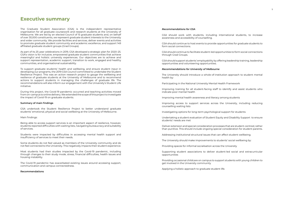The Graduate Student Association (GSA) is the independent representative organisation for all graduate coursework and research students at the University of Melbourne. We are led by an elected Council of 15 graduate students and, on behalf of over 30,000 constituents, we represent graduate student interests to the University and wider community. We provide facilities and services, deliver events and activities to promote graduate student community and academic excellence, and support 149 affiliated graduate student groups (Grad Groups).

As part of its 25-year celebrations in 2019, GSA developed a strategic plan for 2020–25. GSA's vision is for inclusive, empowered graduate student communities that achieve meaningful and holistic university experiences. Our objectives are to achieve and support representation, academic support, transition to work, engaged and healthy communities, and organisational sustainability.

To support graduate students' health and wellbeing, and ensure student input in developing our programs, the 2019 GSA Council committed to undertake the Student Resilience Project. This was an action research project to gauge the wellbeing and resilience of graduate students at the University of Melbourne and to recommend actions to support students in managing the challenges of graduate life. The recommendations will also inform our engagement with the University's Student Life initiative.

During this project, the Covid-19 pandemic occurred and teaching activities moved from on-campus to online delivery. We extended the scope of this project to investigate the impact of Covid-19 on graduate students.

### **Summary of main findings**

GSA undertook the Student Resilience Project to better understand graduate students' emotional, physical and social wellbeing at the University of Melbourne.

### Main findings:

Being able to access support services is an important aspect of resilience, however, students reported difficulties with waiting lists, navigating bureaucracy and suitability of services.

Students were impacted by difficulties in accessing mental health support and insufficiency of services to meet their needs.

Some students do not feel valued as members of the University community and do not feel connected to the University. This negatively impacts their student experience.

Most students had their studies impacted by the Covid-19 pandemic, including through changes to their study mode, stress, financial difficulties, health issues and housing instability.

The Covid-19 pandemic has exacerbated existing issues around accessing support, communication and campus connectedness.

### **Recommendations**

# <span id="page-2-0"></span>**Executive summary**

### *Recommendations for GSA*

GSA should work with students, including international students, to increase awareness and accessibility of counselling.

GSA should continue to host events to provide opportunities for graduate students to form social connections.

GSA should continue to facilitate student-led opportunities to form social connections through Grad Groups.

GSA should support students' employability by offering leadership training, leadership opportunities and volunteering opportunities.

### *Recommendations for University of Melbourne*

The University should introduce a whole-of-institution approach to student mental health by:

Participating in the National University Mental Health Framework

Improving training for all student-facing staff to identify and assist students who indicate poor mental health

Improving mental health awareness and literacy among students

Improving access to support services across the University, including reducing counselling waiting lists

Investigating options for long-term psychological support for students

Undertaking a student evaluation of Student Equity and Disability Support to ensure students' needs are met

Deliver extension and special consideration processes that are student-centred, rather than punitive. This should include ongoing special consideration for student parents.

Addressing institutional structural issues that can affect student wellbeing.

The University should make improvements to students' social wellbeing by:

Providing spaces for informal socialisation across the University

Supporting student associations to deliver student-led social and extracurricular opportunities

Providing occasional childcare on campus to support students with young children to get involved in the University community

Applying a holistic approach to graduate student life.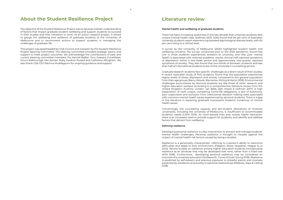The objective of the Student Resilience Project was to develop a better understanding of factors that impact graduate student wellbeing and support students to succeed in their studies and their transition to work. As an action research project, it aimed to gauge the wellbeing and resilience of graduate students at the University of Melbourne and to recommend actions to support students in managing the challenges of graduate life.

This project was spearheaded by GSA Council and overseen by the Student Resilience Project Steering Committee. The steering committee provided strategic advice and support to meet project outcomes. We acknowledge the contributions of past and current steering committee members: Fia Hamid-Walker, Vinu Geesara Gunetilleke, Hiruni Walimunige, Mia Zentari, Ruby Gardner-Russell and Catherine Allingham. We also thank GSA CEO Rachna Muddagouni for ongoing guidance and support.

# <span id="page-3-0"></span>**About the Student Resilience Project**

### **Mental health and wellbeing of graduate students**

There has been increasing awareness in the last decade that university students face unique mental health risks. Stallman (2011; 2016) found that 84 per cent of Australian university students report experiencing elevated psychological distress levels, with 60 per cent rising to a clinical level.

A survey by the University of Melbourne (2020) highlighted student health and wellbeing concerns. The survey, conducted prior to the 2020 pandemic, found that one in three students experienced stressors at university and that poor mental health is associated with reduced academic results. Almost half reported symptoms of depression within a two-week period and approximately one-quarter reported symptoms of anxiety. They also found that two-thirds of domestic students and less than half of international students knew of the University's counselling service.

Graduate research students face specific challenges as a direct result of their studies. A recent Australian study of PhD students, found that this population experiences higher levels of stress, depression and anxiety compared to the general population from their age groups (Barry, Woods, Warnecke, Stirling & Martin 2018). Environmental challenges encountered by doctoral students are like those of other research and higher education workers, according to a comprehensive literature review from the United Kingdom (Guthrie, Lichten, van Belle, Ball, Knack & Hofman 2017). A high expectation of work output, competing home-life obligations, a lack of autonomy, poor supervision and exclusion from institutional decision making were associated with common mental health issues experienced by doctoral students. There is a gap in the literature in exploring graduate coursework students incidences of mental health issues.

Concerningly, the counselling capacity and per-student allowances of Victorian universities, including the University of Melbourne, is insufficient to accommodate students' needs (CAPA 2019). As more people than ever access higher education, there is an increased need to provide support for students, and identify and address factors that detract from wellbeing.

### **Defining resilience**

Developing personal resilience is a key intervention to prevent and manage students' mental health challenges. Personal resilience is thought to insulate against the impact of mental health risk factors caused by being a student.

Resilience is a personality characteristic, referring to a person's ability to overcome difficulties and adapt to their environment (Pidgeon, Rowe, Stapleton, Magyar & Lo 2014). Recent studies on resilience among higher education students conceptualise resilience as an attribute that may be developed over time, rather than a fixed trait (ATN 2018). Furthermore, developing personal resilience may be considered an outcome of a university education (Holdsworth, Turner & Scott-Young 2018). Resilience is predicted by self-esteem and previous exposure to stressful events and inversely predicted by avoidance and anxiety in parental relationships (Robbins, Kaye & Catling 2018).

# **Literature review**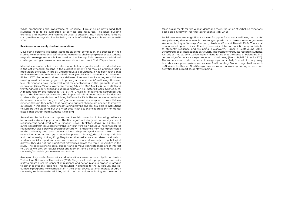<span id="page-4-0"></span>While emphasising the importance of resilience, it must be acknowledged that students need to be supported by services and resources. Resilience building exercises and interventions cannot be used to supplant insufficient resourcing. As such, resilience may also involve being capable of utilising available resources (ATN 2018).

### **Resilience in university student populations**

Developing personal resilience scaffolds students' completion and success in their studies. For many students, self-directed learning is a challenging experience. Students may also manage responsibilities outside of university. This presents an additional challenge during adverse circumstances such as the current Covid-19 pandemic.

Mindfulness is often cited as an intervention to foster greater resilience. Mindfulness is the act of feeling present in the current moment, and may be practiced using meditation exercises. In largely undergraduate populations, it has been found that resilience correlates with level of mindfulness (McGillivray & Pidgeon 2015; Pidgeon & Pickett 2017). Some institutions have delivered interventions, including mindfulness training, meditation and yoga, to improve graduate students' wellbeing. However, few interventions have been evaluated for effectiveness in the graduate student population (Barry, Woods, Warnecke, Stirling & Martin 2018; Mackie & Bates 2019) and they tend to be poorly aligned to addressing known risk factors (Mackie & Bates 2019). A recent randomised controlled trial at the University of Tasmania addressed this gap in the literature by evaluating the impact of mindfulness practice for doctoral students (Barry, Woods, Martin, Stirling & Warnecke 2019). The authors found reduced depression scores in the group of graduate researchers assigned to mindfulness practice, though they noted that policy and cultural change are needed to improve outcomes in this cohort. Mindfulness training may be one tool available to institutions to support their students but this must occur with actions to address environmental factors that detract from students' wellbeing.

Several studies indicate the importance of social connection in fostering resilience in university student populations. The first significant study into university student resilience was conducted in 2014 (Pidgeon, Rowe, Stapleton, Magyar & Lo 2014). The authors assert that to successfully transition to university an individual not only requires resilience but also perceived social support from friends and family, feeling connected to the university and peer connectedness. They surveyed students from three universities: Bond University (an Australian private university), the University of Florida and the University of Hong King. They found that resilience is correlated positively to students' social support and campus connectedness, and inversely to psychological distress. They did not find significant differences across the three universities in the study. The correlations to social support and campus connectedness are of interest to GSA as we provide regular social engagement and a sense of belonging to the University's sizeable graduate student cohort.

An exploratory study of university student resilience was conducted by the Australian Technology Network of Universities (2018). They developed a program for university staff to create a shared concept of resilience and action plans to embed strategies to enhance student resilience. This resulted in changes to the curriculum and cocurricular programs. For example, staff in the School of Occupational Therapy at Curtin University implemented scaffolding within their curriculum, including resubmission of

failed assignments for first year students and the introduction of verbal examinations based on clinical work for final year students (ATN 2018).

Social resources are a significant source of support for student wellbeing, with a UK study showing that loneliness is the strongest predictor of distress in undergraduate students (McIntyre, Worsley, Corcoran, Harrison Woods & Bentall 2018). The social development opportunities offered by university clubs and societies may contribute to students' resilience and wellbeing (Holdsworth, Turner & Scott-Young 2018). Structured social interaction is particularly important for graduate research students. A study of PhD student wellbeing in Finland found that the sense of belonging in a community of scholars is a key component of wellbeing (Stubb, Pyhältö & Lonka 2011). The authors noted the importance of peer groups, particularly from within disciplinary bounds, as a support system and source of skill building. Student organisations such as GSA and its affiliated Grad Groups, have an important role in providing services and activities that support students' wellbeing.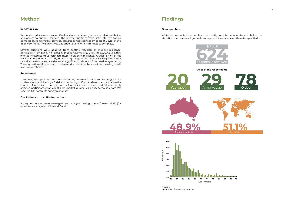### **Survey design**

We conducted a survey through Qualtrics to understand graduate student wellbeing and access to support services. The survey questions were split into five topics: demographics, University services, campus connectedness, impacts of Covid-19 and open comment. The survey was designed to take 10 to 15 minutes to complete.

Several questions were adapted from existing research on student resilience, particularly from the survey used by Pidgeon, Rowe, Stapleton, Magyar and Lo (2014) who correlated campus connectedness to student resilience. A question on stress level was included, as a study by Eckberg, Pidgeon and Magyar (2017) found that perceived stress levels are the most significant indicator of depression symptoms. These questions allowed us to understand student resilience without asking overly invasive questions.

### **Recruitment**

The survey was open from 30 June until 17 August 2020. It was advertised to graduate students at the University of Melbourne through GSA newsletters and social media channels, University newsletters and the University online noticeboard. Fifty randomly selected participants won a \$20 supermarket voucher as a prize for taking part. We received 636 complete survey responses.

### **Qualitative and quantitative methods**

Survey responses were managed and analysed using the software SPSS (for quantitative analysis), NVivo and Excel.

# <span id="page-5-0"></span>**Method**

### **Demographics**

While we have noted the number of domestic and international students below, the statistics listed are for all graduate survey participants unless otherwise specified.

# **Findings**

**Ages of the respondents**









*Figure 1. Age profile of survey respondents.*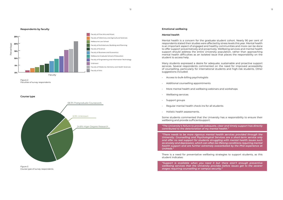*Figure 2. Faculties of survey respondents.*

<span id="page-6-0"></span>



**Course type**

*Figure 3. Course type of survey respondents.*

### **Emotional wellbeing**

### *Mental health*

Mental health is a concern for the graduate student cohort. Nearly 90 per cent of respondents stated their studies were affected by stress levels this year. Mental health is an important aspect of engaged and healthy communities and more can be done to offer support preventatively and proactively. Wellbeing services and mental health support should address the entire University population, rather than approaching mental health difficulties as an isolated issue that places the responsibility on the student to access help.

Many students expressed a desire for adequate, sustainable and proactive support services. Several respondents commented on the need for improved accessibility of counselling, particularly for international students and high-risk students. Other suggestions included:

- Access to bulk-billing psychologists
- Additional counselling appointments
- More mental health and wellbeing webinars and workshops
- Wellbeing services
- Support groups
- Regular mental health check-ins for all students
- Holistic health assessments.

Some students commented that the University has a responsibility to ensure their wellbeing and provide sufficientsupport:

*"The University's failure to provide adequate, clear and timely support has directly contributed to the deterioration of my mental health."*

*"There needs to be more rigorous mental health services provided through the University. Counselling and Psychological Services are a short-term service only and offer no real support for students struggling with mental health issues such as anxiety and depression, which can often be lifelong conditions requiring mental health support and are further extremely exacerbated by the PhD experience at UniMelb."*

There is a need for preventative wellbeing strategies to support students, as this student indicates:

*"Support is available when you need it but there aren't enough preventive wellbeing services that the University provides before issues get to the severer stages requiring counselling or campus security."*

12 and the contract of the contract of the contract of the contract of the contract of the contract of the contract of the contract of the contract of the contract of the contract of the contract of the contract of the con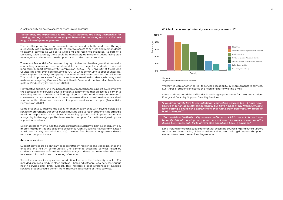<span id="page-7-0"></span>A lack of clarity on how to access services is also an issue:

*"Sometimes, the expectation is that we, as students, are solely responsible for seeking out help – and therefore, may be blamed for not being aware of the best way, or knowing -a- way to do so."*

The need for preventative and adequate support could be better addressed through a University-wide approach. It's vital to improve access to services and refer students to external services as well as to wellbeing and resilience initiatives. As part of a University-wide strategy, there could be mandatory training for student-facing staff to recognise students who need support and to refer them to services.

The recent Productivity Commission Inquiry into Mental Health argues that university counselling services are well-positioned to act as triage for students who need long-term support (Productivity Commission 2020a). The University of Melbourne Counselling and Psychological Services (CAPS), while continuing to offer counselling, could support pathways to appropriate mental healthcare outside the University. This would improve access for groups such as international students, who may need assistance navigating Overseas Student Health Cover and the Australian healthcare system (Productivity Commission 2020a).

Preventative support, and the normalisation of mental health support, could improve the accessibility of services. Several students commented that anxiety is a barrier to accessing support services. Our findings align with the Productivity Commission's statements that some students do not access mental health services due to perceived stigma, while others are unaware of support services on campus (Productivity Commission 2020a).

Some students suggested the ability to anonymously chat with psychologists as a service improvement. Support services must be able to reach students who struggle to ask for help. Online or chat-based counselling options could improve access and anonymity for these groups. This is a cost-effective option for the University to improve support for students.

Better access to mental health services promotes student wellbeing, consequentially improving student life and academic excellence (Clark, Kusevskis-Hayes and Wilkinson 2019 in Productivity Commission 2020a). The need for substantial, long-term and wellresourced support is clear.

### *Access to services*

Support services are a significant aspect of student resilience and wellbeing, enabling engaged and healthy communities. One barrier to accessing services raised by students is awareness of services available. Many students commented on the need for clearer information and marketing of services.

Several responses to a question on additional services the University should offer included services already in place, such as IT help and software, legal services, various health services and library support. This indicates a poor awareness of available services. Students could benefit from improved advertising of these services.



Wait times were another barrier to service accessibility. In improvements to services, two-thirds of students indicated the need for shorter waiting times.

Some students noted the difficulties in booking appointments for CAPS and Student Equity and Disability Support Disability Services:

*"I would definitely love to see additional counselling services too – I have never booked in for an appointment personally but have had so many friends struggle from getting a counselling appointment that I have been deterred from trying to book one myself."*

 *"I am registered with disability services and have an AAP in place. At times it can be really difficult booking an appointment – it can take weeks or even months during busy times, but I try to always plan ahead and book in advance."*

Long waiting times can act as a deterrent for accessing counselling and other support services. Better resourcing of these services and reduced waiting times would support students to access the services they require.

*Figure 4. Respondents' awareness of services.*



**0%**

**20%**

**40%**

**60%**

**100%**

**80%** e

Percentag

ð<br>Q

Faculty

### **Which of the following University services are you aware of?**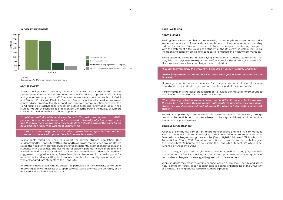### *Service quality*

Service quality across University services was raised repeatedly in the survey. Respondents commented on the need for specific advice, improved staff training and greater empathy from staff. These responses were in relation to Stop 1, CAPS and Student Equity and Disability Support. Students indicated a need for improved course advice, proactive faculty support and improved communication between Stop 1 and faculties. Students experienced difficulties accessing information about their studies through the centralised Stop 1 service. Concerns around the quality of support services are evident in these student responses:

*"I registered with disability services as I have in the past as a carer and an autistic person. I had an appointment and was asked quizzically why I was even there and then told there was nothing they could do to help. She argued the point for an hour and then I left. That was most unsatisfying."*

*"I think it's a moral obligation for the University to inform prospective international students on the lack of support there is from the University."*

<span id="page-8-0"></span>

*Figure 5. Suggestions for University service improvements .*

Respondents raised the need to support the diverse student population. One studentasked for University staff to be trained to work with marginalised groups. Others raised the need for improved services for student parents, international students and students with disabilities. Improvements for student parents include affordable and accessible childcare and occasional childcare. For international students, respondents suggested immigration advice, Australian culture classes and improved support for international students settling in. Respondents called for disability support and case workers for graduate students at the University.

All students need broad-ranging support to participate in the University community. Improving quality and access of support services would promote the University as an inclusive and equitable environment.

### **Service improvements Social wellbeing**

### *Feeling valued*

Feeling like a valued member of the University community is important for a positive student experience. Unfortunately, a sizeable cohort of students reported that they did not feel valued. Over one-quarter of students disagreed or strongly disagreed with the statement "I feel valued as a student at the University of Melbourne". Social inclusion and cohesion are a significant part of engaged and healthy communities.

Some students, including full-fee paying international students, commented that they felt that they were merely a source of revenue for the University. Students felt like they were treated as a number, not as an individual:

*"I do not feel valued by the University. I feel like a number. A source of profit."*

*"Make international students feel like more than just a bank account for the University."*

University is a formative experience for many students and should provide opportunities for students to get involved and feel a part of the community.

For some students, the lack of practical support provided during Covid-19 compounded their feeling of not being valued by the University:

*"The University of Melbourne has been a really difficult place to be for me over the past few years, and this pandemic really confirms how little they care about students. How disconnected and inhuman the place is." (Domestic coursework student)*

There is an opportunity to improve how valued students feel at the University through co-curricular enrichment (non-academic university activities) and accessible, empathetic support services.

### *Campus connectedness*

A sense of community is important to promote engaged and healthy communities. Students who feel a sense of belonging to their institution are more resilient when faced with challenges during their studies (Stubb, Pyhältö & Lonka 2011; Holdsworth, Turner & Scott-Young 2018). Fostering connections to campus has been a challenge at the University of Melbourne, as discussed in the University's Student Life White Paper (Chancellery Academic 2019).

In our survey, 40 per cent of graduate students agreed or strongly agreed with the statement "I feel like I belong at the University of Melbourne". One-quarter of respondents disagreed or strongly disagreed with this statement.

While students may make rewarding connections on a local level, the size and siloed nature of the University does not contribute to a sense of belonging at the University as a whole. As one graduate research student expressed: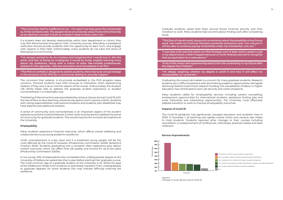| the control of the control of |  |
|-------------------------------|--|
|                               |  |
|                               |  |
|                               |  |
|                               |  |

<span id="page-9-0"></span>*"The University itself is indifferent to me – if it wasn't me they gave this scholarship to, it'd be someone else. The people I know at university value me but the University as an abstract concept is built so it doesn't need to know who I am."*

If a student does not develop relationships within their department or cohort, they may feel disconnected throughout their University journey. Attending a prestigious institution should provide students with the opportunity to learn from, and engage with, experts in their field. Unfortunately, many students do not have this sense of belonging to a community:

*"I've always wanted to do my masters and imagined that I would love it. Not the panic and fear of being an undergrad, it would be lovely, happily learning more about my profession, along with a cohort of other like-minded professionals. Instead it's the opposite, I feel lost and alone and intimidated in all this."*

*"The PhD at UniMelb is designed to isolate students, there has to be actual change in the structure of the PhD for a community feeling to actually happen."*

The comment that isolation is structurally embedded in the PhD program raises concerns. Doctoral students have little recourse or motivation when experiencing isolation if they view it as an intrinsic aspect of the course. Unfortunately, the Student Life White Paper fails to address the graduate student experience or student connectedness in a meaningful way.

This feeling of disconnection was exacerbated by campus closure during Covid-19, with the loss of face-to-face teaching, shared study spaces and in-person events. Students with caring responsibilities, international students and students with disabilities may have experienced additional isolation.

A sense of community and connectedness is an important aspect of the student experience and this must be fostered. Further work must be done to address the sense of community for graduate students. This would improve the inclusive atmosphere at the University.

### **Employability**

Many students experience financial insecurity, which affects overall wellbeing and creates barriers to pursuing academic excellence.

Youth unemployment is a key issue and it is predicted young people will be the most affected by the Covid-19 recession (Productivity Commission 2020b; Borland & Charlton 2020). Students graduating into a recession often experience poor labour market outcomes, which can affect their job quality and income for up to ten years (Productivity Commission 2020b).

In our survey, 59% of respondents who completed their undergraduate degree at the University of Melbourne waited less than a year before starting their graduate course. The most common age of a graduate student at the University is 24. While the goal of the Melbourne Model is for students to seamlessly transition from undergraduate to graduate degrees, for some students this may indicate difficulty entering the workforce.

Graduate students raised their fears around future financial security and their transition to work. Many students had concerns about finding work after completing study:

*"This [loss of casual work], along with uncertainty about the possibility of any future work, has made my financial situation extremely precarious and I am unsure if I will be able to continue paying rent/utilities when my scholarship runs out."*

*"I was also a bit sad that when my PhD finished, and I'd been told to expect a job in my department, it didn't happen because of Covid. Nobody seemed to recognise that as equivalent to a redundancy."*

*"A lot of the stress I am experiencing stems from the uncertainty in my future after the degree has finished."*

*"I'm deeply weighing whether my degree is worth it and how it will affect my employability as I graduate."*

Graduating into a poor job market is a concern for many graduate students. Research students are in difficult positions with diminishing academic opportunities. Alongside declining Federal Government research funding, the casualisation of labour in higher education has contributed to poor job security and career prospects.

Many students called for employability services including careers counselling, employment opportunities for international students, assistance finding jobs and more internship and networking opportunities. The University must effectively address transition to work to improve employability outcomes.

### **Impacts of Covid-19**

The Covid-19 pandemic has significantly changed education and students' lives in 2020. In Semester 1, all teaching was rapidly moved online and campus was closed to most students. Students reported other changes to their courses including cancellation or postponement of conferences, internships, practical classes and data collection.

Yes, some or all of my course has been moved online

Yes, I have been unable to attend a previously planned conference

Yes, my placement or internship has been cancelled / postponed



*Figure 6. Changes to study delivery due to Covid-19.*

Yes, my practical classes (e.g. studios, laboratories) have been cancelled / postponed Yes, my data collection has been cancelled / postponed

No

### **Service improvements**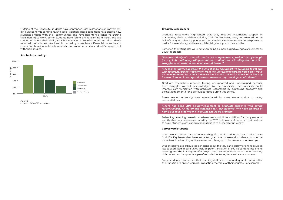<span id="page-10-0"></span>Outside of the University, students have contended with restrictions on movement, difficult economic conditions, and social isolation. These conditions have altered how students engage with their communities and have heightened concerns around transitioning to work. Some students have found online learning difficult and are concerned about their ability to achieve academic excellence. Almost all students reported their studies have been impacted by stress levels. Financial issues, health issues, and housing instability were also common barriers to students' engagement with their studies.

*Figure 7. Impacts of Covid-19 on studies.*



### **Studies impacted by**

### *Graduate researchers*

Graduate researchers highlighted that they received insufficient support in maintaining their candidature during Covid-19. Moreover, many commented on the lack of clarity on what support would be provided. Graduate researchers expressed a desire for extensions, paid leave and flexibility to support their studies.

Some felt their struggles were not even being acknowledged owing to a 'business as usual' approach.

*"We are routinely told to remain productive, and yet are not provided nearly enough (or any) information regarding our future candidatures or funding situations. Our struggles and needs continue to be unaddressed."*

*"The lack of knowledge about the kind of ongoing support we are going to get and without proper acknowledgement from the University regarding how badly we've all been impacted by COVID, it doesn't feel like the University values us or has any invested interest in us beyond how our research may one day benefit them."*

Graduate researchers reported feeling unsupported and undervalued because their struggles weren't acknowledged by the University. The University could improve communication with graduate researchers by expressing empathy and acknowledgement of the difficulties faced during this period.

Stress around university were exacerbated for some students due to caring responsibilities.

*"There has been little acknowledgement of graduate students with caring responsibilities. An automatic extension for PhD students who have children at home due to lockdowns in Melbourne should be granted."*

Balancing providing care with academic responsibilities is difficult for many students and this has only been exacerbated by the 2020 lockdowns. More work must be done to assist students with caring responsibilities to succeed at university.

### *Coursework students*

Coursework students have experienced significant disruptions to their studies due to Covid-19. Key issues that have impacted graduate coursework students include the move to online learning, online exams and changes to placements or internships.

Students have also articulated concerns about the value and quality of online courses. Issues expressed in our survey include poor translation of course content into online learning and the inability to effectively communicate with other students. Reusing old content, such as previous years' recorded lectures, has also been a concern.

Some students commented that teaching staff have been inadequately prepared for the transition to online learning, impacting the value of their courses. For example: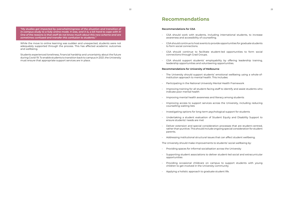<span id="page-11-0"></span>*"My studies got impacted by overwhelmingness of the situation and transition of in-campus study to a fully online mode. It was, and it is, a bit hard to cope with it! One of the reasons is that staff do not know much about this new scheme and are sometimes confused and transfer this confusion to students."*

While the move to online learning was sudden and unexpected, students were not adequately supported through the process. This has affected academic outcomes and wellbeing.

Students experienced loneliness, financial hardship and uncertainty about the future during Covid-19. To enable students to transition back to campus in 2021, the University must ensure that appropriate support services are in place.

### **Recommendations for GSA**

• GSA should work with students, including international students, to increase

• GSA should continue to host events to provide opportunities for graduate students

• GSA should continue to facilitate student-led opportunities to form social

- awareness and accessibility of counselling.
- to form social connections.
- connections through Grad Groups.
- leadership opportunities and volunteering opportunities.

• GSA should support students' employability by offering leadership training,

### **Recommendations for University of Melbourne**

• Improving training for all student-facing staff to identify and assist students who

• Improving access to support services across the University, including reducing

- The University should support students' emotional wellbeing using a whole-ofinstitution approach to mental health. This includes:
- Participating in the National University Mental Health Framework
- indicate poor mental health
- Improving mental health awareness and literacy among students
- counselling waiting lists
- Investigating options for long-term psychological support for students
- ensure students' needs are met
- parents.
- Addressing institutional structural issues that can affect student wellbeing.

• Undertaking a student evaluation of Student Equity and Disability Support to

• Deliver extension and special consideration processes that are student-centred, rather than punitive. This should include ongoing special consideration for student

The University should make improvements to students' social wellbeing by:

• Supporting student associations to deliver student-led social and extracurricular

- Providing spaces for informal socialisation across the University
- opportunities
- children to get involved in the University community
- Applying a holistic approach to graduate student life.

• Providing occasional childcare on campus to support students with young

# **Recommendations**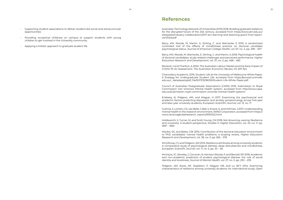- <span id="page-12-0"></span>• Supporting student associations to deliver student-led social and extracurricular opportunities
- Providing occasional childcare on campus to support students with young children to get involved in the University community
- Applying a holistic approach to graduate student life.

Australian Technology Network of Universities (ATN) 2018, Building graduate resilience for the disrupted future of the 21st century, accessed from https://www.atn.edu.au/ siteassets/industry-collaboration/2017-atn-learning-and-teaching-grant-final-reportcertified.pdf

Barry, KM, Woods, M, Martin, A, Stirling, C, and Warnecke, E 2019, A randomized controlled trial of the effects of mindfulness practice on doctoral candidate psychological status, *Journal of American College Health*, vol. 67, no. 4, pp. 299 – 307

Barry, KM, Woods, M, Warnecke, E, Stirling, C, and Martin, A 2018, Psychological health of doctoral candidates, study-related challenges and perceived performance, *Higher Education Research and Development*, vol. 37, no. 3, pp. 468 – 483

Borland, J and Charlton, A 2020, The Australian Labour Market and the Early Impact of COVID‐19: An Assessment. *The Australian Economic Review*, 53: 297-324

Chancellery Academic 2019, Student Life at the University of Melbourne White Paper: A Strategy for Undergraduate Student Life, accessed from https://provost.unimelb. edu.au/\_\_data/assets/pdf\_file/0017/3218030/Student-Life-White-Paper.pdf.

Council of Australian Postgraduate Associations (CAPA) 2019, Submission to Royal Commission into Victoria's Mental Health System, accessed from http://www.capa. edu.au/submission-royal-commission-victorias-mental-health-system/

Eckberg, N, Pidgeon, AM, and Magyar, H 2017, Examining the psychosocial and academic factors predicting depression and anxiety symptomology across first-year and later-year university students, *European Scientific Journal*, vol. 13, no. 17

Guthrie, S, Lichten, CA, van Belle, J, Ball, S, Knack, A, and Hofman, J 2017, Understanding mental health in the research environment, RAND Corporation, accessed from https:// www.rand.org/pubs/research\_reports/RR2022.html

Holdsworth, S, Turner, M, and Scott-Young, CM 2018, Not drowning, waving. Resilience and university: A student perspective, *Studies in Higher Education*, vol. 43, no. 11, pp. 1837 – 1853

Mackie, SA, and Bates, GW 2019, Contribution of the doctoral education environment to PhD candidates' mental health problems: a scoping review, *Higher Education Research and Development*, vol. 38, no. 3, pp. 565 – 578

McGillivray, CJ, and Pidgeon, AM 2015, Resilience attributes among university students: A comparative study of psychological distress, sleep disturbances and mindfulness, *European Scientific Journal*, vol. 11, no. 5, pp. 33 – 48

McIntyre, JC, Worsley, J, Corcoran, R, Harrison Woods, P, and Bentall, RP 2018, Academic and non-academic predictors of student psychological distress: the role of social identity and loneliness, *Journal of Mental Health*, vol. 27, no. 3, pp. 230 – 239

Pidgeon, AM, Rowe, NF, Stapleton, P, Magyar, HB, and Lo, BCY 2014, Examining characteristics of resilience among university students: An international study, *Open* 

### **References**